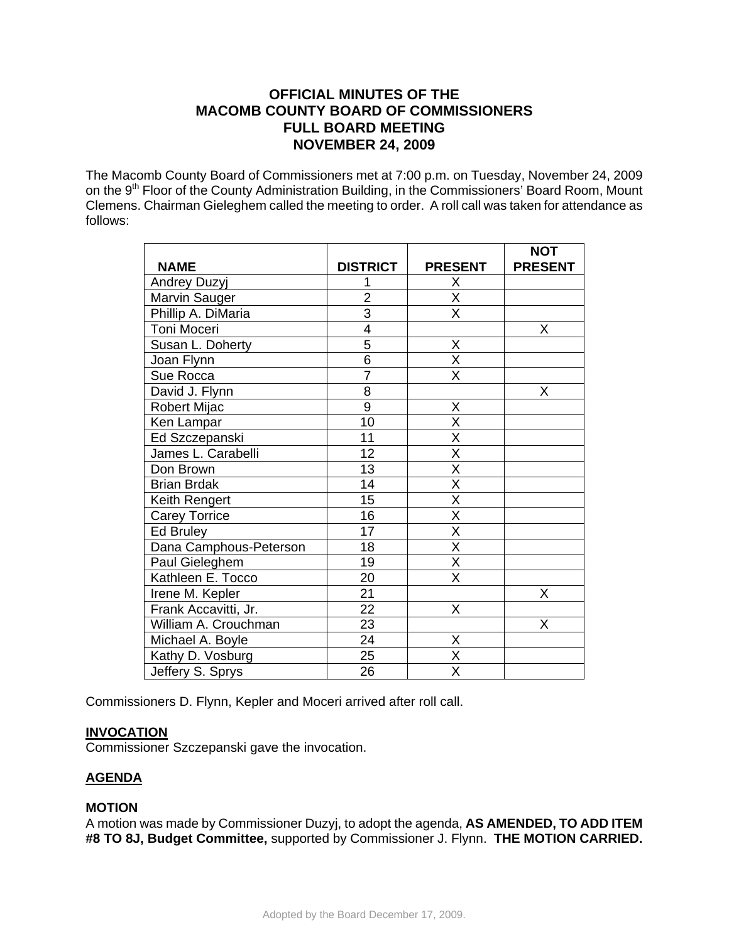# **OFFICIAL MINUTES OF THE MACOMB COUNTY BOARD OF COMMISSIONERS FULL BOARD MEETING NOVEMBER 24, 2009**

The Macomb County Board of Commissioners met at 7:00 p.m. on Tuesday, November 24, 2009 on the 9<sup>th</sup> Floor of the County Administration Building, in the Commissioners' Board Room, Mount Clemens. Chairman Gieleghem called the meeting to order. A roll call was taken for attendance as follows:

|                        |                 |                         | <b>NOT</b>     |
|------------------------|-----------------|-------------------------|----------------|
| <b>NAME</b>            | <b>DISTRICT</b> | <b>PRESENT</b>          | <b>PRESENT</b> |
| Andrey Duzyj           |                 | X                       |                |
| Marvin Sauger          | $\overline{2}$  | $\overline{\mathsf{X}}$ |                |
| Phillip A. DiMaria     | $\overline{3}$  | $\overline{\mathsf{X}}$ |                |
| Toni Moceri            | 4               |                         | X              |
| Susan L. Doherty       | $\overline{5}$  | X                       |                |
| Joan Flynn             | $\overline{6}$  | $\overline{X}$          |                |
| Sue Rocca              | $\overline{7}$  | $\overline{\mathsf{x}}$ |                |
| David J. Flynn         | 8               |                         | X              |
| Robert Mijac           | $\overline{9}$  | Χ                       |                |
| Ken Lampar             | 10              | $\overline{\mathsf{x}}$ |                |
| Ed Szczepanski         | 11              | $\overline{\mathsf{x}}$ |                |
| James L. Carabelli     | 12              | X                       |                |
| Don Brown              | 13              | $\overline{\mathsf{x}}$ |                |
| <b>Brian Brdak</b>     | 14              | $\overline{\mathsf{x}}$ |                |
| Keith Rengert          | 15              | $\overline{\mathsf{x}}$ |                |
| <b>Carey Torrice</b>   | 16              | $\overline{\mathsf{x}}$ |                |
| Ed Bruley              | 17              | $\overline{\mathsf{x}}$ |                |
| Dana Camphous-Peterson | 18              | $\overline{\mathsf{x}}$ |                |
| Paul Gieleghem         | 19              | $\overline{\mathsf{x}}$ |                |
| Kathleen E. Tocco      | 20              | $\overline{\mathsf{x}}$ |                |
| Irene M. Kepler        | $\overline{21}$ |                         | X              |
| Frank Accavitti, Jr.   | 22              | X                       |                |
| William A. Crouchman   | $\overline{23}$ |                         | X              |
| Michael A. Boyle       | $\overline{24}$ | X                       |                |
| Kathy D. Vosburg       | 25              | $\overline{\mathsf{x}}$ |                |
| Jeffery S. Sprys       | $\overline{26}$ | $\overline{\mathsf{x}}$ |                |

Commissioners D. Flynn, Kepler and Moceri arrived after roll call.

# **INVOCATION**

Commissioner Szczepanski gave the invocation.

# **AGENDA**

# **MOTION**

A motion was made by Commissioner Duzyj, to adopt the agenda, **AS AMENDED, TO ADD ITEM #8 TO 8J, Budget Committee,** supported by Commissioner J. Flynn. **THE MOTION CARRIED.**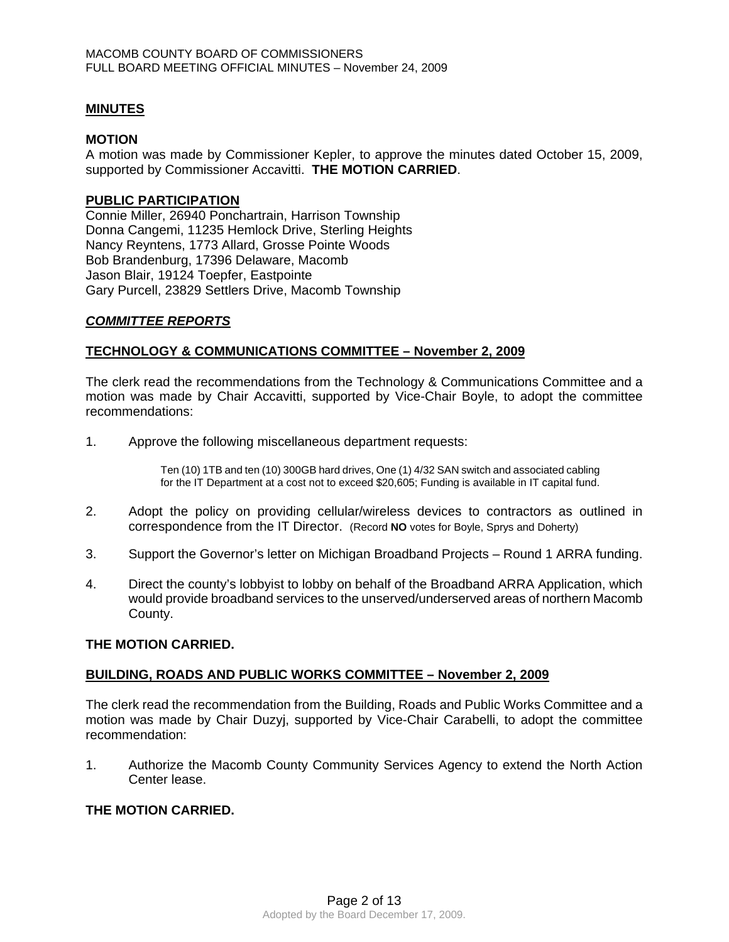# **MINUTES**

## **MOTION**

A motion was made by Commissioner Kepler, to approve the minutes dated October 15, 2009, supported by Commissioner Accavitti. **THE MOTION CARRIED**.

# **PUBLIC PARTICIPATION**

Connie Miller, 26940 Ponchartrain, Harrison Township Donna Cangemi, 11235 Hemlock Drive, Sterling Heights Nancy Reyntens, 1773 Allard, Grosse Pointe Woods Bob Brandenburg, 17396 Delaware, Macomb Jason Blair, 19124 Toepfer, Eastpointe Gary Purcell, 23829 Settlers Drive, Macomb Township

# *COMMITTEE REPORTS*

# **TECHNOLOGY & COMMUNICATIONS COMMITTEE – November 2, 2009**

The clerk read the recommendations from the Technology & Communications Committee and a motion was made by Chair Accavitti, supported by Vice-Chair Boyle, to adopt the committee recommendations:

1. Approve the following miscellaneous department requests:

Ten (10) 1TB and ten (10) 300GB hard drives, One (1) 4/32 SAN switch and associated cabling for the IT Department at a cost not to exceed \$20,605; Funding is available in IT capital fund.

- 2. Adopt the policy on providing cellular/wireless devices to contractors as outlined in correspondence from the IT Director. (Record **NO** votes for Boyle, Sprys and Doherty)
- 3. Support the Governor's letter on Michigan Broadband Projects Round 1 ARRA funding.
- 4. Direct the county's lobbyist to lobby on behalf of the Broadband ARRA Application, which would provide broadband services to the unserved/underserved areas of northern Macomb County.

# **THE MOTION CARRIED.**

# **BUILDING, ROADS AND PUBLIC WORKS COMMITTEE – November 2, 2009**

The clerk read the recommendation from the Building, Roads and Public Works Committee and a motion was made by Chair Duzyj, supported by Vice-Chair Carabelli, to adopt the committee recommendation:

1. Authorize the Macomb County Community Services Agency to extend the North Action Center lease.

# **THE MOTION CARRIED.**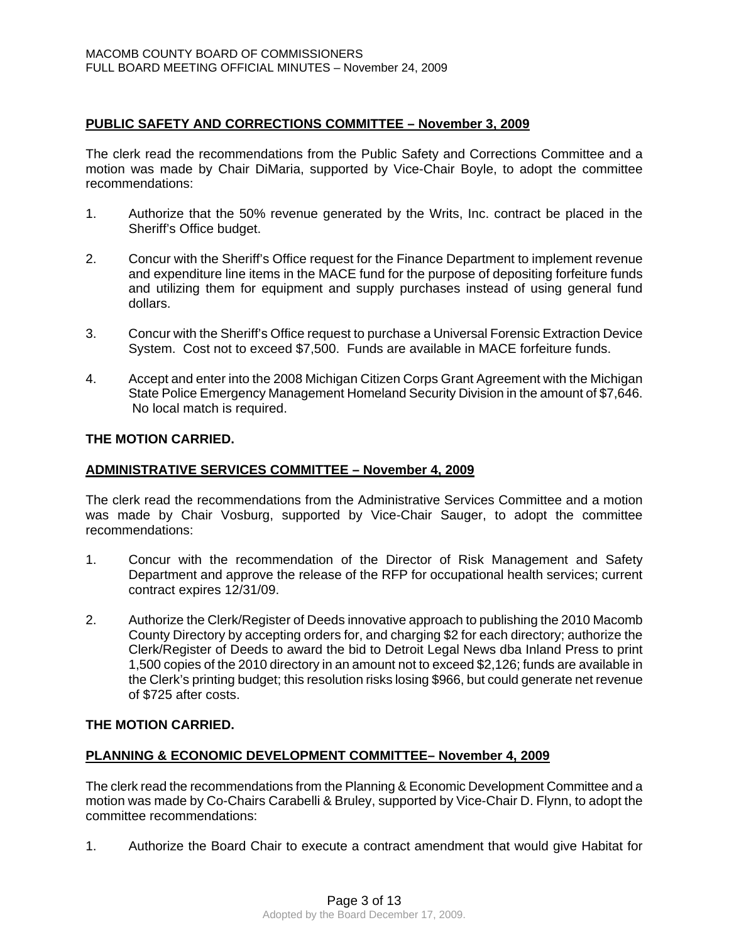# **PUBLIC SAFETY AND CORRECTIONS COMMITTEE – November 3, 2009**

The clerk read the recommendations from the Public Safety and Corrections Committee and a motion was made by Chair DiMaria, supported by Vice-Chair Boyle, to adopt the committee recommendations:

- 1. Authorize that the 50% revenue generated by the Writs, Inc. contract be placed in the Sheriff's Office budget.
- 2. Concur with the Sheriff's Office request for the Finance Department to implement revenue and expenditure line items in the MACE fund for the purpose of depositing forfeiture funds and utilizing them for equipment and supply purchases instead of using general fund dollars.
- 3. Concur with the Sheriff's Office request to purchase a Universal Forensic Extraction Device System. Cost not to exceed \$7,500. Funds are available in MACE forfeiture funds.
- 4. Accept and enter into the 2008 Michigan Citizen Corps Grant Agreement with the Michigan State Police Emergency Management Homeland Security Division in the amount of \$7,646. No local match is required.

# **THE MOTION CARRIED.**

# **ADMINISTRATIVE SERVICES COMMITTEE – November 4, 2009**

The clerk read the recommendations from the Administrative Services Committee and a motion was made by Chair Vosburg, supported by Vice-Chair Sauger, to adopt the committee recommendations:

- 1. Concur with the recommendation of the Director of Risk Management and Safety Department and approve the release of the RFP for occupational health services; current contract expires 12/31/09.
- 2. Authorize the Clerk/Register of Deeds innovative approach to publishing the 2010 Macomb County Directory by accepting orders for, and charging \$2 for each directory; authorize the Clerk/Register of Deeds to award the bid to Detroit Legal News dba Inland Press to print 1,500 copies of the 2010 directory in an amount not to exceed \$2,126; funds are available in the Clerk's printing budget; this resolution risks losing \$966, but could generate net revenue of \$725 after costs.

# **THE MOTION CARRIED.**

# **PLANNING & ECONOMIC DEVELOPMENT COMMITTEE– November 4, 2009**

The clerk read the recommendations from the Planning & Economic Development Committee and a motion was made by Co-Chairs Carabelli & Bruley, supported by Vice-Chair D. Flynn, to adopt the committee recommendations:

1. Authorize the Board Chair to execute a contract amendment that would give Habitat for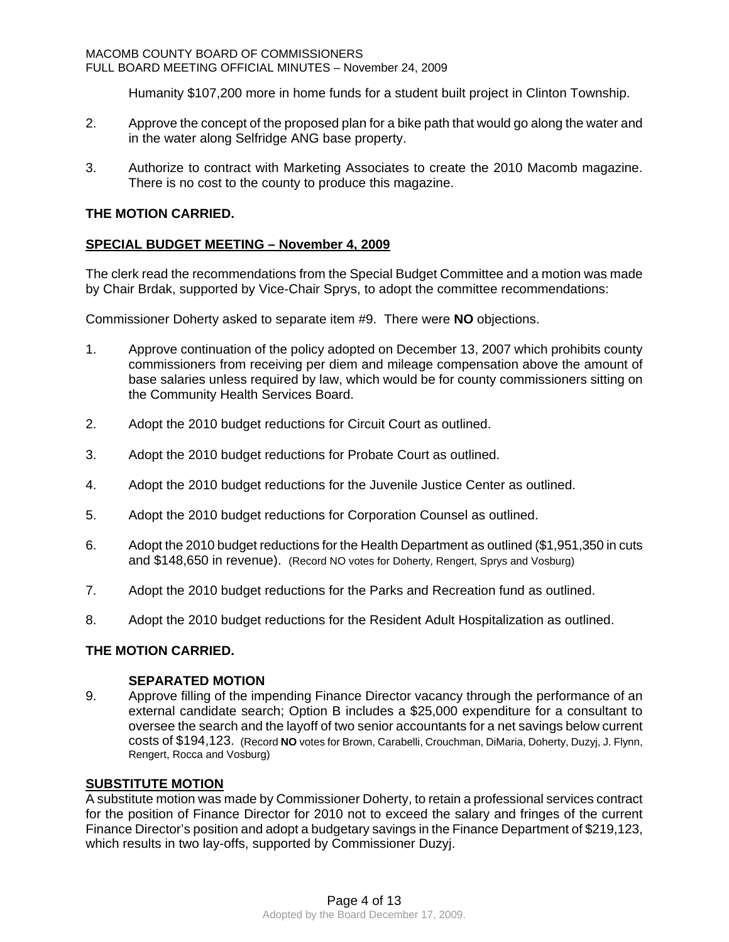Humanity \$107,200 more in home funds for a student built project in Clinton Township.

- 2. Approve the concept of the proposed plan for a bike path that would go along the water and in the water along Selfridge ANG base property.
- 3. Authorize to contract with Marketing Associates to create the 2010 Macomb magazine. There is no cost to the county to produce this magazine.

# **THE MOTION CARRIED.**

# **SPECIAL BUDGET MEETING – November 4, 2009**

The clerk read the recommendations from the Special Budget Committee and a motion was made by Chair Brdak, supported by Vice-Chair Sprys, to adopt the committee recommendations:

Commissioner Doherty asked to separate item #9. There were **NO** objections.

- 1. Approve continuation of the policy adopted on December 13, 2007 which prohibits county commissioners from receiving per diem and mileage compensation above the amount of base salaries unless required by law, which would be for county commissioners sitting on the Community Health Services Board.
- 2. Adopt the 2010 budget reductions for Circuit Court as outlined.
- 3. Adopt the 2010 budget reductions for Probate Court as outlined.
- 4. Adopt the 2010 budget reductions for the Juvenile Justice Center as outlined.
- 5. Adopt the 2010 budget reductions for Corporation Counsel as outlined.
- 6. Adopt the 2010 budget reductions for the Health Department as outlined (\$1,951,350 in cuts and \$148,650 in revenue). (Record NO votes for Doherty, Rengert, Sprys and Vosburg)
- 7. Adopt the 2010 budget reductions for the Parks and Recreation fund as outlined.
- 8. Adopt the 2010 budget reductions for the Resident Adult Hospitalization as outlined.

# **THE MOTION CARRIED.**

# **SEPARATED MOTION**

9. Approve filling of the impending Finance Director vacancy through the performance of an external candidate search; Option B includes a \$25,000 expenditure for a consultant to oversee the search and the layoff of two senior accountants for a net savings below current costs of \$194,123. (Record **NO** votes for Brown, Carabelli, Crouchman, DiMaria, Doherty, Duzyj, J. Flynn, Rengert, Rocca and Vosburg)

# **SUBSTITUTE MOTION**

A substitute motion was made by Commissioner Doherty, to retain a professional services contract for the position of Finance Director for 2010 not to exceed the salary and fringes of the current Finance Director's position and adopt a budgetary savings in the Finance Department of \$219,123, which results in two lay-offs, supported by Commissioner Duzyj.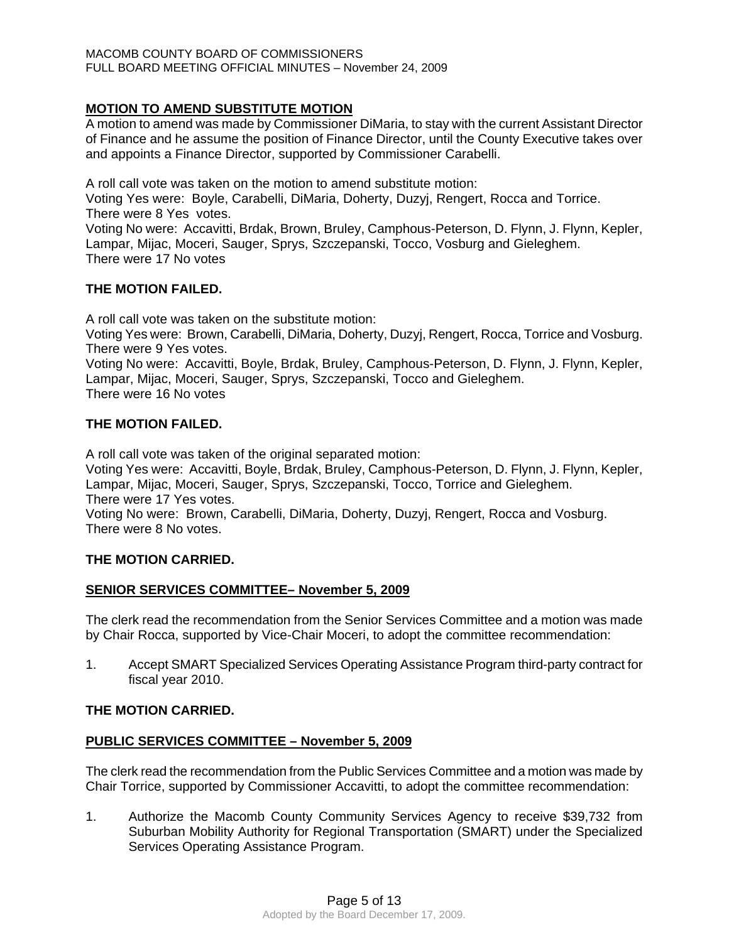# **MOTION TO AMEND SUBSTITUTE MOTION**

A motion to amend was made by Commissioner DiMaria, to stay with the current Assistant Director of Finance and he assume the position of Finance Director, until the County Executive takes over and appoints a Finance Director, supported by Commissioner Carabelli.

A roll call vote was taken on the motion to amend substitute motion:

Voting Yes were: Boyle, Carabelli, DiMaria, Doherty, Duzyj, Rengert, Rocca and Torrice. There were 8 Yes votes.

Voting No were: Accavitti, Brdak, Brown, Bruley, Camphous-Peterson, D. Flynn, J. Flynn, Kepler, Lampar, Mijac, Moceri, Sauger, Sprys, Szczepanski, Tocco, Vosburg and Gieleghem. There were 17 No votes

# **THE MOTION FAILED.**

A roll call vote was taken on the substitute motion:

Voting Yes were: Brown, Carabelli, DiMaria, Doherty, Duzyj, Rengert, Rocca, Torrice and Vosburg. There were 9 Yes votes.

Voting No were: Accavitti, Boyle, Brdak, Bruley, Camphous-Peterson, D. Flynn, J. Flynn, Kepler, Lampar, Mijac, Moceri, Sauger, Sprys, Szczepanski, Tocco and Gieleghem. There were 16 No votes

# **THE MOTION FAILED.**

A roll call vote was taken of the original separated motion:

Voting Yes were: Accavitti, Boyle, Brdak, Bruley, Camphous-Peterson, D. Flynn, J. Flynn, Kepler, Lampar, Mijac, Moceri, Sauger, Sprys, Szczepanski, Tocco, Torrice and Gieleghem.

There were 17 Yes votes.

Voting No were: Brown, Carabelli, DiMaria, Doherty, Duzyj, Rengert, Rocca and Vosburg. There were 8 No votes.

# **THE MOTION CARRIED.**

# **SENIOR SERVICES COMMITTEE– November 5, 2009**

The clerk read the recommendation from the Senior Services Committee and a motion was made by Chair Rocca, supported by Vice-Chair Moceri, to adopt the committee recommendation:

1. Accept SMART Specialized Services Operating Assistance Program third-party contract for fiscal year 2010.

# **THE MOTION CARRIED.**

# **PUBLIC SERVICES COMMITTEE – November 5, 2009**

The clerk read the recommendation from the Public Services Committee and a motion was made by Chair Torrice, supported by Commissioner Accavitti, to adopt the committee recommendation:

1. Authorize the Macomb County Community Services Agency to receive \$39,732 from Suburban Mobility Authority for Regional Transportation (SMART) under the Specialized Services Operating Assistance Program.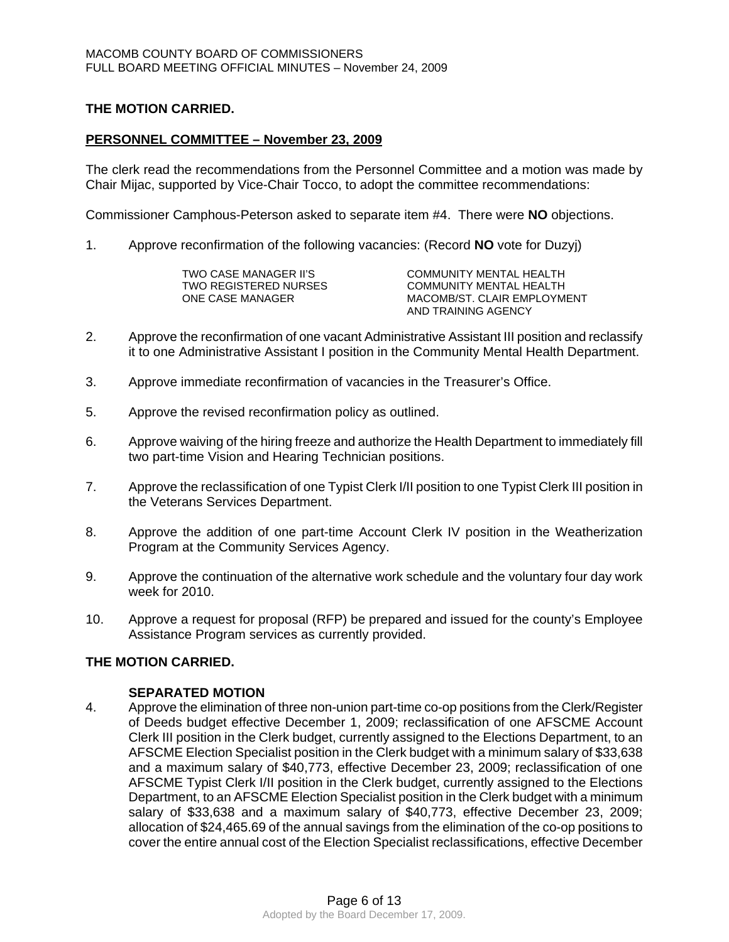# **THE MOTION CARRIED.**

## **PERSONNEL COMMITTEE – November 23, 2009**

The clerk read the recommendations from the Personnel Committee and a motion was made by Chair Mijac, supported by Vice-Chair Tocco, to adopt the committee recommendations:

Commissioner Camphous-Peterson asked to separate item #4. There were **NO** objections.

1. Approve reconfirmation of the following vacancies: (Record **NO** vote for Duzyj)

| TWO CASE MANAGER II'S | COMMUNITY MENTAL HEALTH     |
|-----------------------|-----------------------------|
| TWO REGISTERED NURSES | COMMUNITY MENTAL HEALTH     |
| ONE CASE MANAGER      | MACOMB/ST. CLAIR EMPLOYMENT |
|                       | AND TRAINING AGENCY         |

- 2. Approve the reconfirmation of one vacant Administrative Assistant III position and reclassify it to one Administrative Assistant I position in the Community Mental Health Department.
- 3. Approve immediate reconfirmation of vacancies in the Treasurer's Office.
- 5. Approve the revised reconfirmation policy as outlined.
- 6. Approve waiving of the hiring freeze and authorize the Health Department to immediately fill two part-time Vision and Hearing Technician positions.
- 7. Approve the reclassification of one Typist Clerk I/II position to one Typist Clerk III position in the Veterans Services Department.
- 8. Approve the addition of one part-time Account Clerk IV position in the Weatherization Program at the Community Services Agency.
- 9. Approve the continuation of the alternative work schedule and the voluntary four day work week for 2010.
- 10. Approve a request for proposal (RFP) be prepared and issued for the county's Employee Assistance Program services as currently provided.

# **THE MOTION CARRIED.**

# **SEPARATED MOTION**

4. Approve the elimination of three non-union part-time co-op positions from the Clerk/Register of Deeds budget effective December 1, 2009; reclassification of one AFSCME Account Clerk III position in the Clerk budget, currently assigned to the Elections Department, to an AFSCME Election Specialist position in the Clerk budget with a minimum salary of \$33,638 and a maximum salary of \$40,773, effective December 23, 2009; reclassification of one AFSCME Typist Clerk I/II position in the Clerk budget, currently assigned to the Elections Department, to an AFSCME Election Specialist position in the Clerk budget with a minimum salary of \$33,638 and a maximum salary of \$40,773, effective December 23, 2009; allocation of \$24,465.69 of the annual savings from the elimination of the co-op positions to cover the entire annual cost of the Election Specialist reclassifications, effective December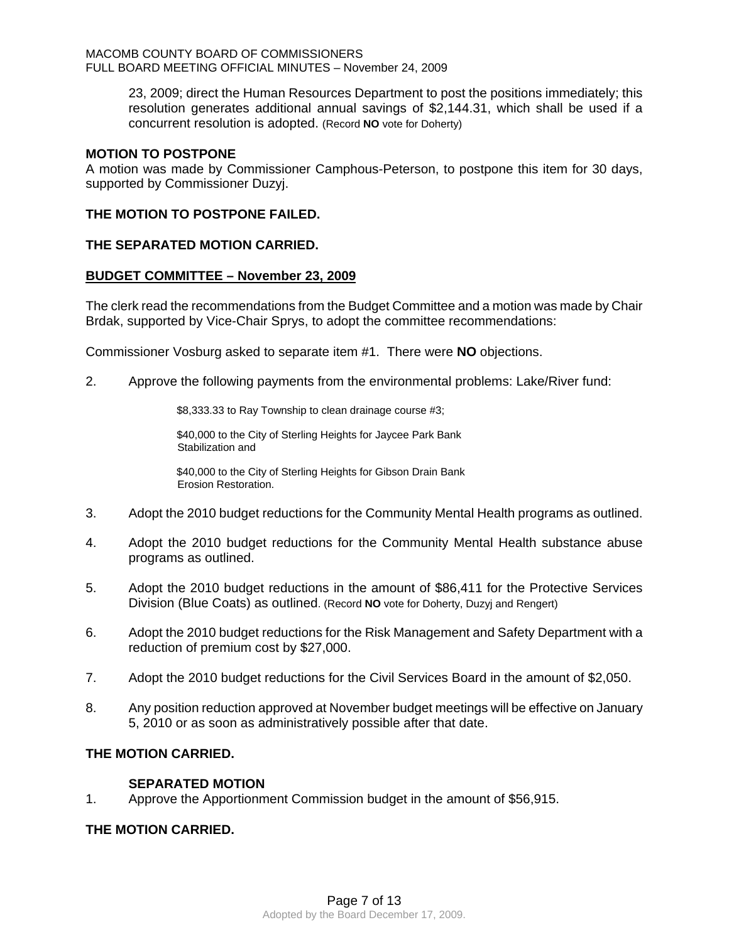23, 2009; direct the Human Resources Department to post the positions immediately; this resolution generates additional annual savings of \$2,144.31, which shall be used if a concurrent resolution is adopted. (Record **NO** vote for Doherty)

# **MOTION TO POSTPONE**

A motion was made by Commissioner Camphous-Peterson, to postpone this item for 30 days, supported by Commissioner Duzyj.

# **THE MOTION TO POSTPONE FAILED.**

#### **THE SEPARATED MOTION CARRIED.**

#### **BUDGET COMMITTEE – November 23, 2009**

The clerk read the recommendations from the Budget Committee and a motion was made by Chair Brdak, supported by Vice-Chair Sprys, to adopt the committee recommendations:

Commissioner Vosburg asked to separate item #1. There were **NO** objections.

2. Approve the following payments from the environmental problems: Lake/River fund:

\$8,333.33 to Ray Township to clean drainage course #3;

\$40,000 to the City of Sterling Heights for Jaycee Park Bank Stabilization and

\$40,000 to the City of Sterling Heights for Gibson Drain Bank Erosion Restoration.

- 3. Adopt the 2010 budget reductions for the Community Mental Health programs as outlined.
- 4. Adopt the 2010 budget reductions for the Community Mental Health substance abuse programs as outlined.
- 5. Adopt the 2010 budget reductions in the amount of \$86,411 for the Protective Services Division (Blue Coats) as outlined. (Record **NO** vote for Doherty, Duzyj and Rengert)
- 6. Adopt the 2010 budget reductions for the Risk Management and Safety Department with a reduction of premium cost by \$27,000.
- 7. Adopt the 2010 budget reductions for the Civil Services Board in the amount of \$2,050.
- 8. Any position reduction approved at November budget meetings will be effective on January 5, 2010 or as soon as administratively possible after that date.

# **THE MOTION CARRIED.**

# **SEPARATED MOTION**

1. Approve the Apportionment Commission budget in the amount of \$56,915.

# **THE MOTION CARRIED.**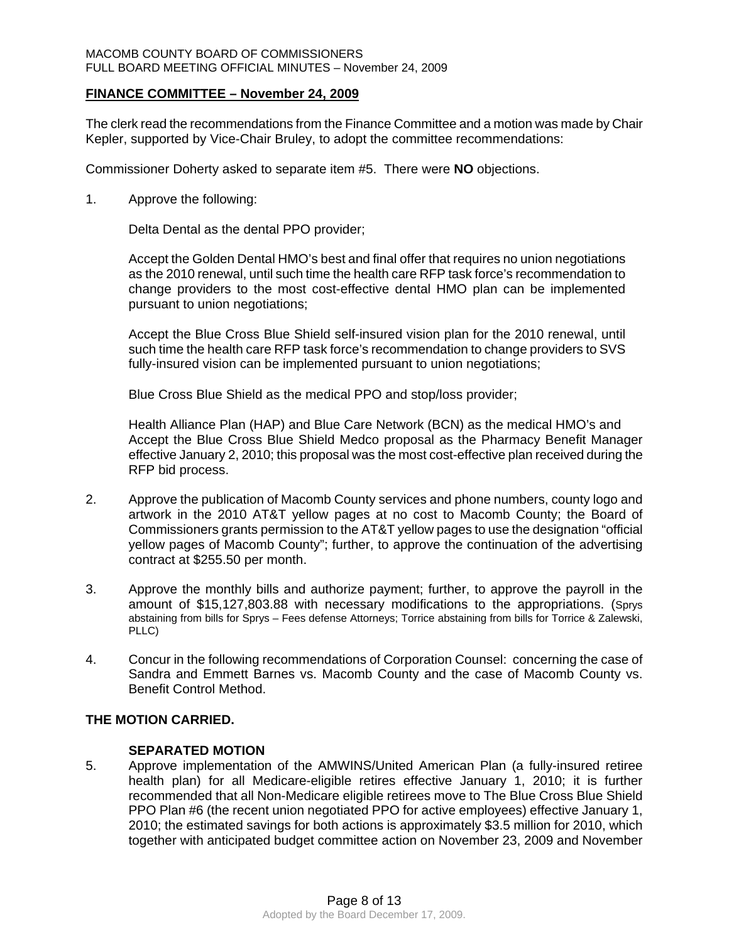#### MACOMB COUNTY BOARD OF COMMISSIONERS FULL BOARD MEETING OFFICIAL MINUTES – November 24, 2009

# **FINANCE COMMITTEE – November 24, 2009**

The clerk read the recommendations from the Finance Committee and a motion was made by Chair Kepler, supported by Vice-Chair Bruley, to adopt the committee recommendations:

Commissioner Doherty asked to separate item #5. There were **NO** objections.

1. Approve the following:

Delta Dental as the dental PPO provider;

Accept the Golden Dental HMO's best and final offer that requires no union negotiations as the 2010 renewal, until such time the health care RFP task force's recommendation to change providers to the most cost-effective dental HMO plan can be implemented pursuant to union negotiations;

Accept the Blue Cross Blue Shield self-insured vision plan for the 2010 renewal, until such time the health care RFP task force's recommendation to change providers to SVS fully-insured vision can be implemented pursuant to union negotiations;

Blue Cross Blue Shield as the medical PPO and stop/loss provider;

Health Alliance Plan (HAP) and Blue Care Network (BCN) as the medical HMO's and Accept the Blue Cross Blue Shield Medco proposal as the Pharmacy Benefit Manager effective January 2, 2010; this proposal was the most cost-effective plan received during the RFP bid process.

- 2. Approve the publication of Macomb County services and phone numbers, county logo and artwork in the 2010 AT&T yellow pages at no cost to Macomb County; the Board of Commissioners grants permission to the AT&T yellow pages to use the designation "official yellow pages of Macomb County"; further, to approve the continuation of the advertising contract at \$255.50 per month.
- 3. Approve the monthly bills and authorize payment; further, to approve the payroll in the amount of \$15,127,803.88 with necessary modifications to the appropriations. (Sprys abstaining from bills for Sprys – Fees defense Attorneys; Torrice abstaining from bills for Torrice & Zalewski, PLLC)
- 4. Concur in the following recommendations of Corporation Counsel: concerning the case of Sandra and Emmett Barnes vs. Macomb County and the case of Macomb County vs. Benefit Control Method.

# **THE MOTION CARRIED.**

**SEPARATED MOTION**<br>5. Approve implementation Approve implementation of the AMWINS/United American Plan (a fully-insured retiree health plan) for all Medicare-eligible retires effective January 1, 2010; it is further recommended that all Non-Medicare eligible retirees move to The Blue Cross Blue Shield PPO Plan #6 (the recent union negotiated PPO for active employees) effective January 1, 2010; the estimated savings for both actions is approximately \$3.5 million for 2010, which together with anticipated budget committee action on November 23, 2009 and November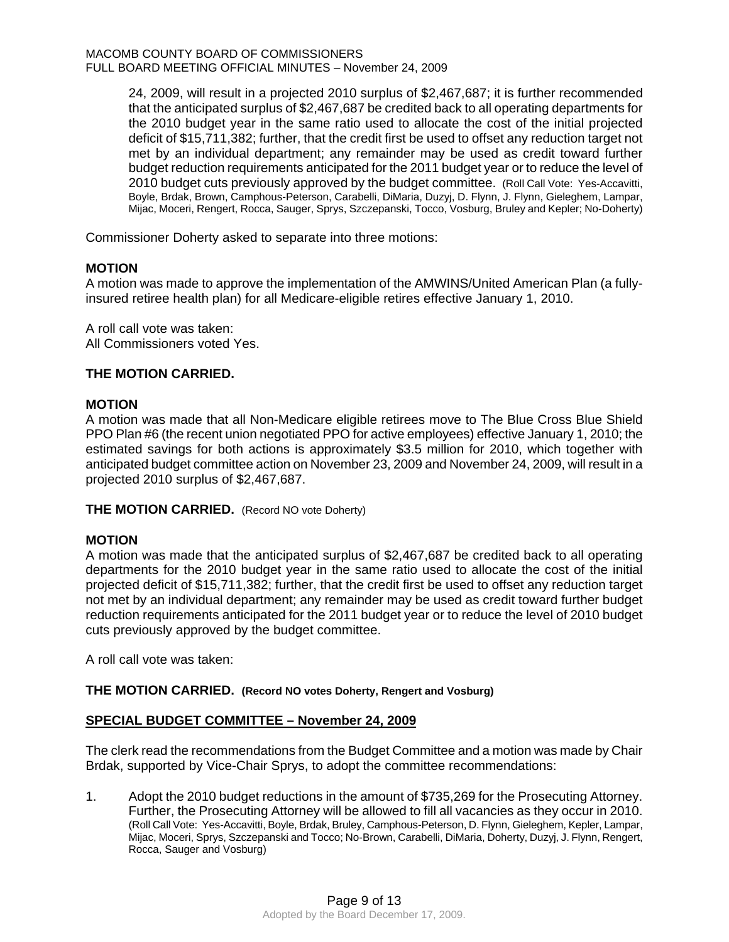24, 2009, will result in a projected 2010 surplus of \$2,467,687; it is further recommended that the anticipated surplus of \$2,467,687 be credited back to all operating departments for the 2010 budget year in the same ratio used to allocate the cost of the initial projected deficit of \$15,711,382; further, that the credit first be used to offset any reduction target not met by an individual department; any remainder may be used as credit toward further budget reduction requirements anticipated for the 2011 budget year or to reduce the level of 2010 budget cuts previously approved by the budget committee. (Roll Call Vote: Yes-Accavitti, Boyle, Brdak, Brown, Camphous-Peterson, Carabelli, DiMaria, Duzyj, D. Flynn, J. Flynn, Gieleghem, Lampar, Mijac, Moceri, Rengert, Rocca, Sauger, Sprys, Szczepanski, Tocco, Vosburg, Bruley and Kepler; No-Doherty)

Commissioner Doherty asked to separate into three motions:

# **MOTION**

A motion was made to approve the implementation of the AMWINS/United American Plan (a fullyinsured retiree health plan) for all Medicare-eligible retires effective January 1, 2010.

A roll call vote was taken: All Commissioners voted Yes.

# **THE MOTION CARRIED.**

# **MOTION**

A motion was made that all Non-Medicare eligible retirees move to The Blue Cross Blue Shield PPO Plan #6 (the recent union negotiated PPO for active employees) effective January 1, 2010; the estimated savings for both actions is approximately \$3.5 million for 2010, which together with anticipated budget committee action on November 23, 2009 and November 24, 2009, will result in a projected 2010 surplus of \$2,467,687.

**THE MOTION CARRIED.** (Record NO vote Doherty)

# **MOTION**

A motion was made that the anticipated surplus of \$2,467,687 be credited back to all operating departments for the 2010 budget year in the same ratio used to allocate the cost of the initial projected deficit of \$15,711,382; further, that the credit first be used to offset any reduction target not met by an individual department; any remainder may be used as credit toward further budget reduction requirements anticipated for the 2011 budget year or to reduce the level of 2010 budget cuts previously approved by the budget committee.

A roll call vote was taken:

**THE MOTION CARRIED. (Record NO votes Doherty, Rengert and Vosburg)** 

# **SPECIAL BUDGET COMMITTEE – November 24, 2009**

The clerk read the recommendations from the Budget Committee and a motion was made by Chair Brdak, supported by Vice-Chair Sprys, to adopt the committee recommendations:

1. Adopt the 2010 budget reductions in the amount of \$735,269 for the Prosecuting Attorney. Further, the Prosecuting Attorney will be allowed to fill all vacancies as they occur in 2010. (Roll Call Vote: Yes-Accavitti, Boyle, Brdak, Bruley, Camphous-Peterson, D. Flynn, Gieleghem, Kepler, Lampar, Mijac, Moceri, Sprys, Szczepanski and Tocco; No-Brown, Carabelli, DiMaria, Doherty, Duzyj, J. Flynn, Rengert, Rocca, Sauger and Vosburg)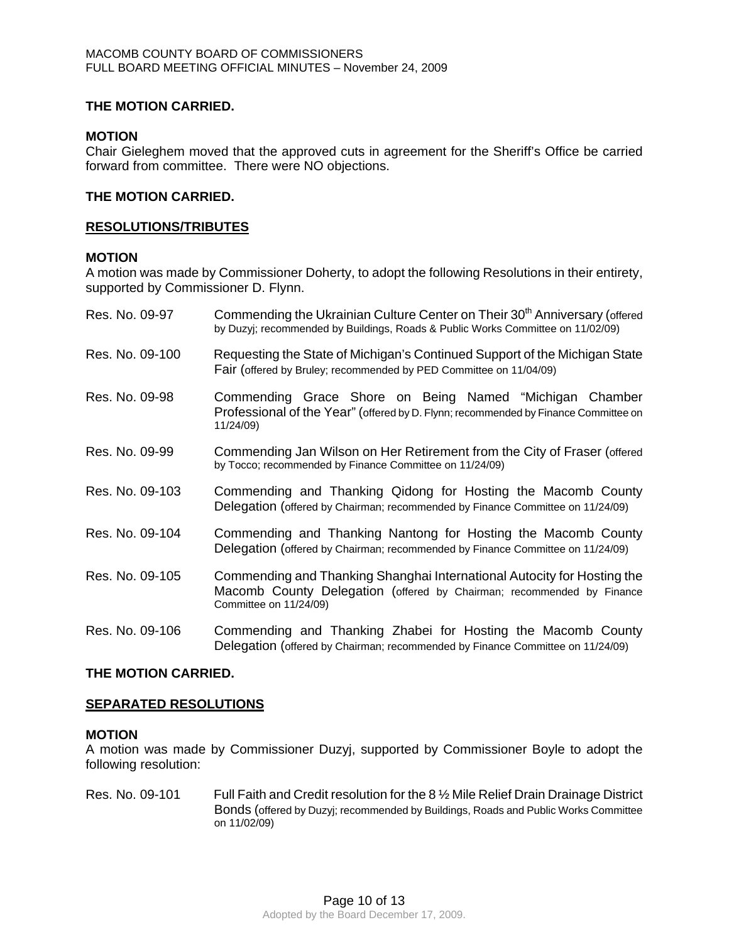# **THE MOTION CARRIED.**

## **MOTION**

Chair Gieleghem moved that the approved cuts in agreement for the Sheriff's Office be carried forward from committee. There were NO objections.

# **THE MOTION CARRIED.**

#### **RESOLUTIONS/TRIBUTES**

#### **MOTION**

A motion was made by Commissioner Doherty, to adopt the following Resolutions in their entirety, supported by Commissioner D. Flynn.

| Res. No. 09-97  | Commending the Ukrainian Culture Center on Their 30 <sup>th</sup> Anniversary (offered<br>by Duzyj; recommended by Buildings, Roads & Public Works Committee on 11/02/09)  |  |  |  |
|-----------------|----------------------------------------------------------------------------------------------------------------------------------------------------------------------------|--|--|--|
| Res. No. 09-100 | Requesting the State of Michigan's Continued Support of the Michigan State<br>Fair (offered by Bruley; recommended by PED Committee on 11/04/09)                           |  |  |  |
| Res. No. 09-98  | Commending Grace Shore on Being Named "Michigan Chamber<br>Professional of the Year" (offered by D. Flynn; recommended by Finance Committee on<br>11/24/09)                |  |  |  |
| Res. No. 09-99  | Commending Jan Wilson on Her Retirement from the City of Fraser (offered<br>by Tocco; recommended by Finance Committee on 11/24/09)                                        |  |  |  |
| Res. No. 09-103 | Commending and Thanking Qidong for Hosting the Macomb County<br>Delegation (offered by Chairman; recommended by Finance Committee on 11/24/09)                             |  |  |  |
| Res. No. 09-104 | Commending and Thanking Nantong for Hosting the Macomb County<br>Delegation (offered by Chairman; recommended by Finance Committee on 11/24/09)                            |  |  |  |
| Res. No. 09-105 | Commending and Thanking Shanghai International Autocity for Hosting the<br>Macomb County Delegation (offered by Chairman; recommended by Finance<br>Committee on 11/24/09) |  |  |  |
| Res. No. 09-106 | Commending and Thanking Zhabei for Hosting the Macomb County<br>Delegation (offered by Chairman; recommended by Finance Committee on 11/24/09)                             |  |  |  |

# **THE MOTION CARRIED.**

#### **SEPARATED RESOLUTIONS**

## **MOTION**

A motion was made by Commissioner Duzyj, supported by Commissioner Boyle to adopt the following resolution:

Res. No. 09-101 Full Faith and Credit resolution for the 8 % Mile Relief Drain Drainage District Bonds (offered by Duzyj; recommended by Buildings, Roads and Public Works Committee on 11/02/09)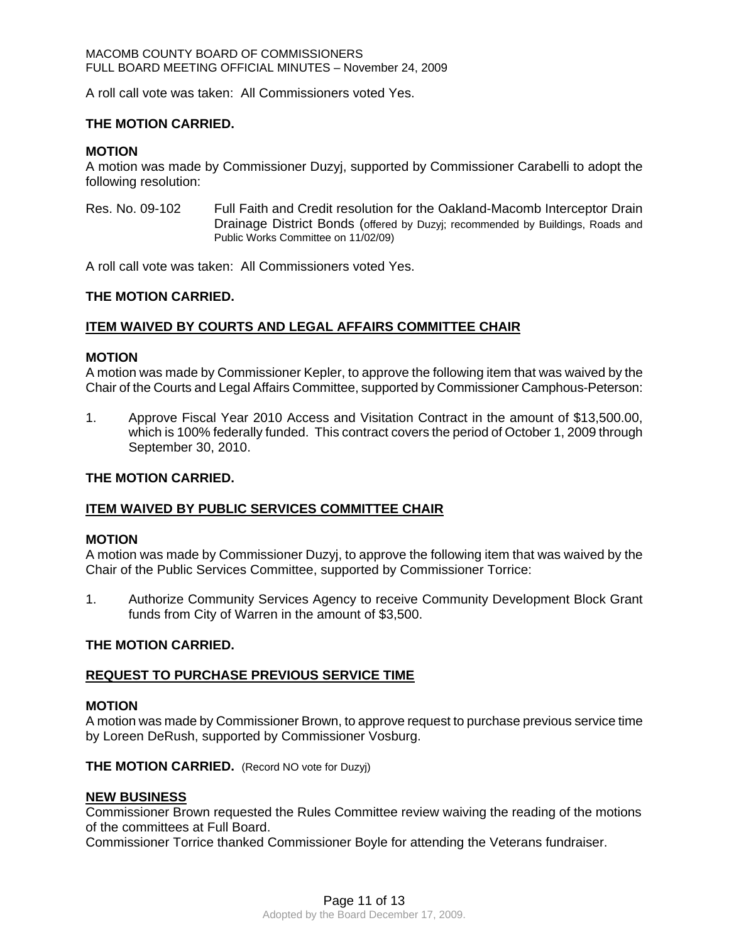A roll call vote was taken: All Commissioners voted Yes.

# **THE MOTION CARRIED.**

# **MOTION**

A motion was made by Commissioner Duzyj, supported by Commissioner Carabelli to adopt the following resolution:

Res. No. 09-102 Full Faith and Credit resolution for the Oakland-Macomb Interceptor Drain Drainage District Bonds (offered by Duzyj; recommended by Buildings, Roads and Public Works Committee on 11/02/09)

A roll call vote was taken: All Commissioners voted Yes.

# **THE MOTION CARRIED.**

# **ITEM WAIVED BY COURTS AND LEGAL AFFAIRS COMMITTEE CHAIR**

# **MOTION**

A motion was made by Commissioner Kepler, to approve the following item that was waived by the Chair of the Courts and Legal Affairs Committee, supported by Commissioner Camphous-Peterson:

1. Approve Fiscal Year 2010 Access and Visitation Contract in the amount of \$13,500.00, which is 100% federally funded. This contract covers the period of October 1, 2009 through September 30, 2010.

# **THE MOTION CARRIED.**

# **ITEM WAIVED BY PUBLIC SERVICES COMMITTEE CHAIR**

# **MOTION**

A motion was made by Commissioner Duzyj, to approve the following item that was waived by the Chair of the Public Services Committee, supported by Commissioner Torrice:

1. Authorize Community Services Agency to receive Community Development Block Grant funds from City of Warren in the amount of \$3,500.

# **THE MOTION CARRIED.**

# **REQUEST TO PURCHASE PREVIOUS SERVICE TIME**

# **MOTION**

A motion was made by Commissioner Brown, to approve request to purchase previous service time by Loreen DeRush, supported by Commissioner Vosburg.

#### **THE MOTION CARRIED.** (Record NO vote for Duzyj)

#### **NEW BUSINESS**

Commissioner Brown requested the Rules Committee review waiving the reading of the motions of the committees at Full Board.

Commissioner Torrice thanked Commissioner Boyle for attending the Veterans fundraiser.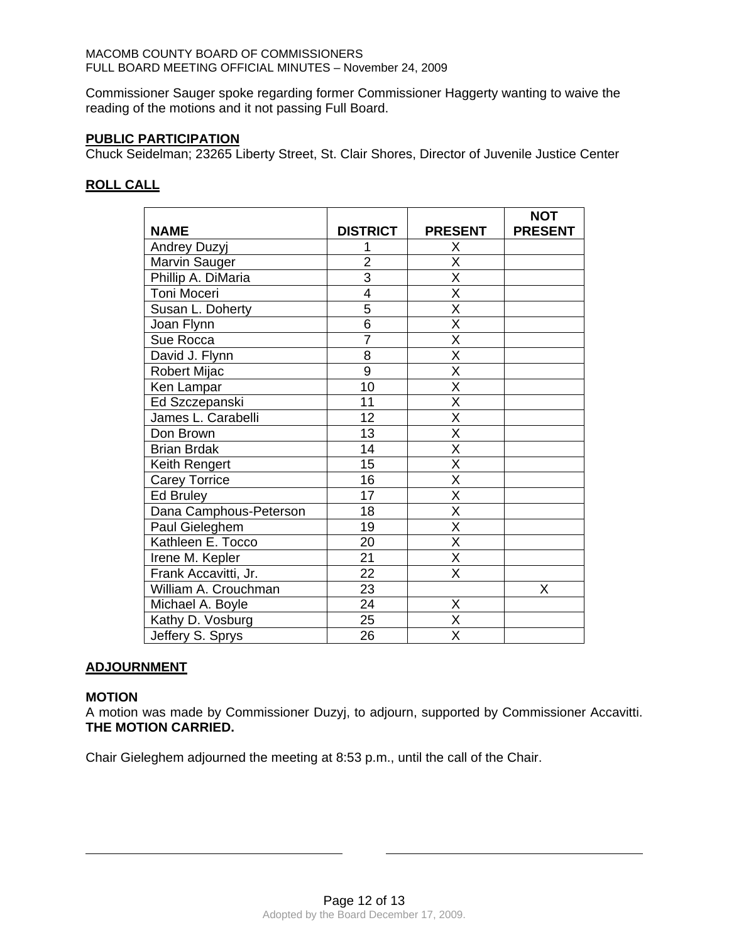#### MACOMB COUNTY BOARD OF COMMISSIONERS FULL BOARD MEETING OFFICIAL MINUTES – November 24, 2009

Commissioner Sauger spoke regarding former Commissioner Haggerty wanting to waive the reading of the motions and it not passing Full Board.

## **PUBLIC PARTICIPATION**

Chuck Seidelman; 23265 Liberty Street, St. Clair Shores, Director of Juvenile Justice Center

# **ROLL CALL**

|                        |                 |                         | <b>NOT</b>     |
|------------------------|-----------------|-------------------------|----------------|
| <b>NAME</b>            | <b>DISTRICT</b> | <b>PRESENT</b>          | <b>PRESENT</b> |
| Andrey Duzyj           |                 | X                       |                |
| Marvin Sauger          | $\overline{2}$  | Χ                       |                |
| Phillip A. DiMaria     | $\overline{3}$  | $\overline{\mathsf{x}}$ |                |
| Toni Moceri            | 4               | $\overline{\mathsf{x}}$ |                |
| Susan L. Doherty       | 5               | X                       |                |
| Joan Flynn             | $\overline{6}$  | $\overline{\mathsf{x}}$ |                |
| Sue Rocca              | $\overline{7}$  | $\overline{\mathsf{x}}$ |                |
| David J. Flynn         | 8               | Χ                       |                |
| Robert Mijac           | $\overline{9}$  | $\overline{\mathsf{x}}$ |                |
| Ken Lampar             | 10              | $\overline{\mathsf{x}}$ |                |
| Ed Szczepanski         | 11              | $\overline{\mathsf{x}}$ |                |
| James L. Carabelli     | 12              | $\overline{\mathsf{X}}$ |                |
| Don Brown              | 13              | $\overline{\mathsf{x}}$ |                |
| <b>Brian Brdak</b>     | 14              | X                       |                |
| Keith Rengert          | 15              | $\overline{\mathsf{x}}$ |                |
| <b>Carey Torrice</b>   | 16              | $\overline{\mathsf{x}}$ |                |
| <b>Ed Bruley</b>       | 17              | $\overline{\mathsf{x}}$ |                |
| Dana Camphous-Peterson | 18              | $\overline{\mathsf{x}}$ |                |
| Paul Gieleghem         | 19              | X                       |                |
| Kathleen E. Tocco      | 20              | $\overline{\mathsf{x}}$ |                |
| Irene M. Kepler        | 21              | X                       |                |
| Frank Accavitti, Jr.   | 22              | X                       |                |
| William A. Crouchman   | 23              |                         | Χ              |
| Michael A. Boyle       | $\overline{24}$ | Χ                       |                |
| Kathy D. Vosburg       | 25              | $\overline{\mathsf{x}}$ |                |
| Jeffery S. Sprys       | 26              | $\overline{\mathsf{x}}$ |                |

# **ADJOURNMENT**

#### **MOTION**

 $\overline{a}$ 

A motion was made by Commissioner Duzyj, to adjourn, supported by Commissioner Accavitti. **THE MOTION CARRIED.** 

Chair Gieleghem adjourned the meeting at 8:53 p.m., until the call of the Chair.